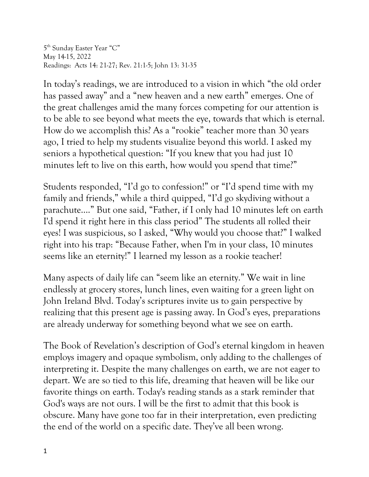5th Sunday Easter Year "C" May 14-15, 2022 Readings: Acts 14: 21-27; Rev. 21:1-5; John 13: 31-35

In today's readings, we are introduced to a vision in which "the old order has passed away" and a "new heaven and a new earth" emerges. One of the great challenges amid the many forces competing for our attention is to be able to see beyond what meets the eye, towards that which is eternal. How do we accomplish this? As a "rookie" teacher more than 30 years ago, I tried to help my students visualize beyond this world. I asked my seniors a hypothetical question: "If you knew that you had just 10 minutes left to live on this earth, how would you spend that time?"

Students responded, "I'd go to confession!" or "I'd spend time with my family and friends," while a third quipped, "I'd go skydiving without a parachute…." But one said, "Father, if I only had 10 minutes left on earth I'd spend it right here in this class period" The students all rolled their eyes! I was suspicious, so I asked, "Why would you choose that?" I walked right into his trap: "Because Father, when I'm in your class, 10 minutes seems like an eternity!" I learned my lesson as a rookie teacher!

Many aspects of daily life can "seem like an eternity." We wait in line endlessly at grocery stores, lunch lines, even waiting for a green light on John Ireland Blvd. Today's scriptures invite us to gain perspective by realizing that this present age is passing away. In God's eyes, preparations are already underway for something beyond what we see on earth.

The Book of Revelation's description of God's eternal kingdom in heaven employs imagery and opaque symbolism, only adding to the challenges of interpreting it. Despite the many challenges on earth, we are not eager to depart. We are so tied to this life, dreaming that heaven will be like our favorite things on earth. Today's reading stands as a stark reminder that God's ways are not ours. I will be the first to admit that this book is obscure. Many have gone too far in their interpretation, even predicting the end of the world on a specific date. They've all been wrong.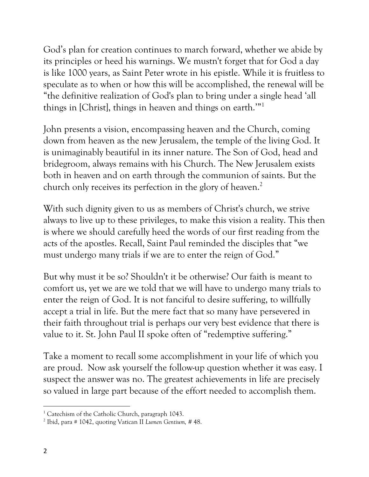God's plan for creation continues to march forward, whether we abide by its principles or heed his warnings. We mustn't forget that for God a day is like 1000 years, as Saint Peter wrote in his epistle. While it is fruitless to speculate as to when or how this will be accomplished, the renewal will be "the definitive realization of God's plan to bring under a single head 'all things in [Christ], things in heaven and things on earth.'"1

John presents a vision, encompassing heaven and the Church, coming down from heaven as the new Jerusalem, the temple of the living God. It is unimaginably beautiful in its inner nature. The Son of God, head and bridegroom, always remains with his Church. The New Jerusalem exists both in heaven and on earth through the communion of saints. But the church only receives its perfection in the glory of heaven.<sup>2</sup>

With such dignity given to us as members of Christ's church, we strive always to live up to these privileges, to make this vision a reality. This then is where we should carefully heed the words of our first reading from the acts of the apostles. Recall, Saint Paul reminded the disciples that "we must undergo many trials if we are to enter the reign of God."

But why must it be so? Shouldn't it be otherwise? Our faith is meant to comfort us, yet we are we told that we will have to undergo many trials to enter the reign of God. It is not fanciful to desire suffering, to willfully accept a trial in life. But the mere fact that so many have persevered in their faith throughout trial is perhaps our very best evidence that there is value to it. St. John Paul II spoke often of "redemptive suffering."

Take a moment to recall some accomplishment in your life of which you are proud. Now ask yourself the follow-up question whether it was easy. I suspect the answer was no. The greatest achievements in life are precisely so valued in large part because of the effort needed to accomplish them.

<sup>&</sup>lt;sup>1</sup> Catechism of the Catholic Church, paragraph 1043.

<sup>2</sup> Ibid, para # 1042, quoting Vatican II *Lumen Gentium, #* 48.